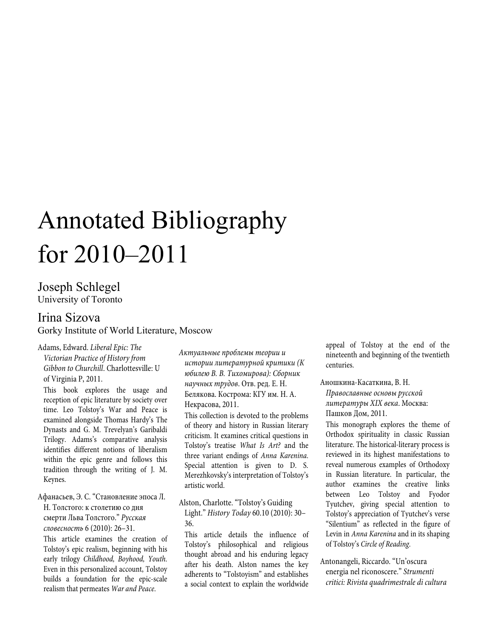# Annotated Bibliography for 2010–2011

# Joseph Schlegel University of Toronto

# Irina Sizova Gorky Institute of World Literature, Moscow

Adams, Edward. *Liberal Epic: The Victorian Practice of History from Gibbon to Churchill*. Charlottesville: U of Virginia P, 2011.

This book explores the usage and reception of epic literature by society over time. Leo Tolstoy's War and Peace is examined alongside Thomas Hardy's The Dynasts and G. M. Trevelyan's Garibaldi Trilogy. Adams's comparative analysis identifies different notions of liberalism within the epic genre and follows this tradition through the writing of J. M. Keynes.

Афанасьев, Э. С. "Становление эпоса Л. Н. Толстого: к столетию со дня смерти Льва Толстого." *Русская словесность* 6 (2010): 26–31.

This article examines the creation of Tolstoy's epic realism, beginning with his early trilogy *Childhood, Boyhood, Youth*. Even in this personalized account, Tolstoy builds a foundation for the epic-scale realism that permeates *War and Peace*.

*Актуальные проблемы теории и истории литературной критики (К юбилею В. В. Тихомирова): Сборник научных трудов*. Отв. ред. Е. Н. Белякова. Кострома: КГУ им. Н. А. Некрасова, 2011.

This collection is devoted to the problems of theory and history in Russian literary criticism. It examines critical questions in Tolstoy's treatise *What Is Art?* and the three variant endings of *Anna Karenina*. Special attention is given to D. S. Merezhkovsky's interpretation of Tolstoy's artistic world.

Alston, Charlotte. "Tolstoy's Guiding Light." *History Today* 60.10 (2010): 30– 36.

This article details the influence of Tolstoy's philosophical and religious thought abroad and his enduring legacy after his death. Alston names the key adherents to "Tolstoyism" and establishes a social context to explain the worldwide

appeal of Tolstoy at the end of the nineteenth and beginning of the twentieth centuries.

Аношкина-Касаткина, В. Н.

*Православные основы русской литературы XIX века*. Москва: Пашков Дом, 2011.

This monograph explores the theme of Orthodox spirituality in classic Russian literature. The historical-literary process is reviewed in its highest manifestations to reveal numerous examples of Orthodoxy in Russian literature. In particular, the author examines the creative links between Leo Tolstoy and Fyodor Tyutchev, giving special attention to Tolstoy's appreciation of Tyutchev's verse "Silentium" as reflected in the figure of Levin in *Anna Karenina* and in its shaping of Tolstoy's *Circle of Reading*.

Antonangeli, Riccardo. "Un'oscura energia nel riconoscere." *Strumenti critici: Rivista quadrimestrale di cultura*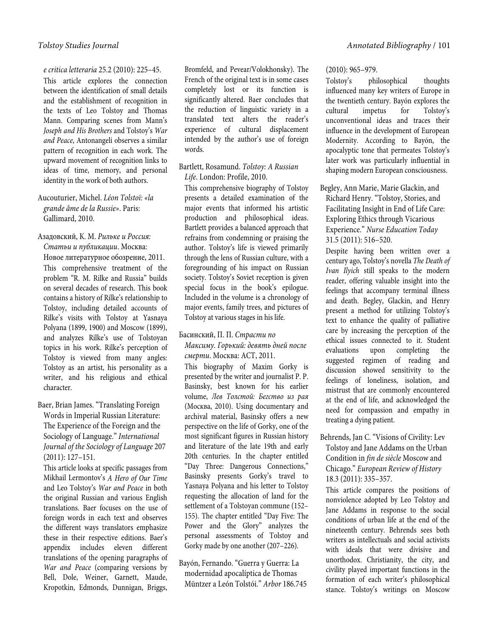## *e critica letteraria* 25.2 (2010): 225–45.

This article explores the connection between the identification of small details and the establishment of recognition in the texts of Leo Tolstoy and Thomas Mann. Comparing scenes from Mann's *Joseph and His Brothers* and Tolstoy's *War and Peace*, Antonangeli observes a similar pattern of recognition in each work. The upward movement of recognition links to ideas of time, memory, and personal identity in the work of both authors.

## Aucouturier, Michel. *Léon Tolstoï: «la grande âme de la Russie»*. Paris: Gallimard, 2010.

Азадовский, К. М. *Рильке и Россия: Статьи и публикации*. Москва: Новое литературное обозрение, 2011. This comprehensive treatment of the problem "R. M. Rilke and Russia" builds on several decades of research. This book contains a history of Rilke's relationship to Tolstoy, including detailed accounts of Rilke's visits with Tolstoy at Yasnaya Polyana (1899, 1900) and Moscow (1899), and analyzes Rilke's use of Tolstoyan topics in his work. Rilke's perception of Tolstoy is viewed from many angles: Tolstoy as an artist, his personality as a writer, and his religious and ethical character.

## Baer, Brian James. "Translating Foreign Words in Imperial Russian Literature: The Experience of the Foreign and the Sociology of Language." *International Journal of the Sociology of Language* 207 (2011): 127–151.

This article looks at specific passages from Mikhail Lermontov's *A Hero of Our Time*  and Leo Tolstoy's *War and Peace* in both the original Russian and various English translations. Baer focuses on the use of foreign words in each text and observes the different ways translators emphasize these in their respective editions. Baer's appendix includes eleven different translations of the opening paragraphs of *War and Peace* (comparing versions by Bell, Dole, Weiner, Garnett, Maude, Kropotkin, Edmonds, Dunnigan, Briggs,

Bromfeld, and Pevear/Volokhonsky). The French of the original text is in some cases completely lost or its function is significantly altered. Baer concludes that the reduction of linguistic variety in a translated text alters the reader's experience of cultural displacement intended by the author's use of foreign words.

## Bartlett, Rosamund. *Tolstoy: A Russian Life*. London: Profile, 2010.

This comprehensive biography of Tolstoy presents a detailed examination of the major events that informed his artistic production and philosophical ideas. Bartlett provides a balanced approach that refrains from condemning or praising the author. Tolstoy's life is viewed primarily through the lens of Russian culture, with a foregrounding of his impact on Russian society. Tolstoy's Soviet reception is given special focus in the book's epilogue. Included in the volume is a chronology of major events, family trees, and pictures of Tolstoy at various stages in his life.

## Басинский, П. П. *Страсти по Максиму. Горький: девять дней после смерти*. Москва: АСТ, 2011.

This biography of Maxim Gorky is presented by the writer and journalist P. P. Basinsky, best known for his earlier volume, *Лев Толстой: Бегство из рая* (Москва, 2010). Using documentary and archival material, Basinsky offers a new perspective on the life of Gorky, one of the most significant figures in Russian history and literature of the late 19th and early 20th centuries. In the chapter entitled "Day Three: Dangerous Connections," Basinsky presents Gorky's travel to Yasnaya Polyana and his letter to Tolstoy requesting the allocation of land for the settlement of a Tolstoyan commune (152– 155). The chapter entitled "Day Five: The Power and the Glory" analyzes the personal assessments of Tolstoy and Gorky made by one another (207–226).

## Bayón, Fernando. "Guerra y Guerra: La modernidad apocalíptica de Thomas Müntzer a León Tolstói." *Arbor* 186.745

#### (2010): 965–979.

Tolstoy's philosophical thoughts influenced many key writers of Europe in the twentieth century. Bayón explores the cultural impetus for Tolstoy's unconventional ideas and traces their influence in the development of European Modernity. According to Bayón, the apocalyptic tone that permeates Tolstoy's later work was particularly influential in shaping modern European consciousness.

Begley, Ann Marie, Marie Glackin, and Richard Henry. "Tolstoy, Stories, and Facilitating Insight in End of Life Care: Exploring Ethics through Vicarious Experience." *Nurse Education Today* 31.5 (2011): 516–520.

Despite having been written over a century ago, Tolstoy's novella *The Death of Ivan Ilyich* still speaks to the modern reader, offering valuable insight into the feelings that accompany terminal illness and death. Begley, Glackin, and Henry present a method for utilizing Tolstoy's text to enhance the quality of palliative care by increasing the perception of the ethical issues connected to it. Student evaluations upon completing the suggested regimen of reading and discussion showed sensitivity to the feelings of loneliness, isolation, and mistrust that are commonly encountered at the end of life, and acknowledged the need for compassion and empathy in treating a dying patient.

## Behrends, Jan C. "Visions of Civility: Lev Tolstoy and Jane Addams on the Urban Condition in *fin de siècle* Moscow and Chicago." *European Review of History* 18.3 (2011): 335–357.

This article compares the positions of nonviolence adopted by Leo Tolstoy and Jane Addams in response to the social conditions of urban life at the end of the nineteenth century. Behrends sees both writers as intellectuals and social activists with ideals that were divisive and unorthodox. Christianity, the city, and civility played important functions in the formation of each writer's philosophical stance. Tolstoy's writings on Moscow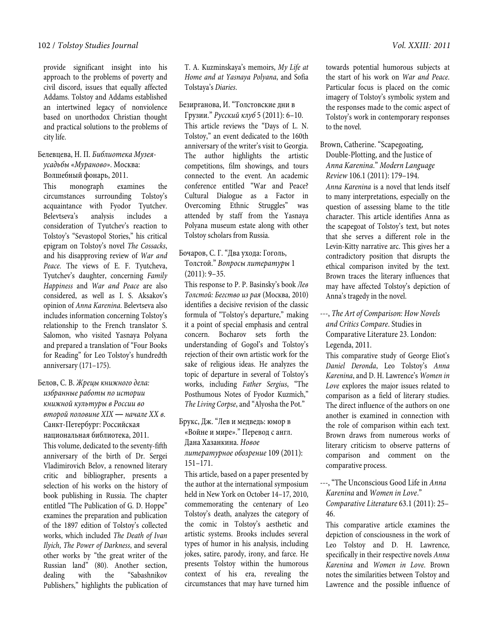## 102 / *Tolstoy Studies Journal Vol. XXIII: 2011*

provide significant insight into his approach to the problems of poverty and civil discord, issues that equally affected Addams. Tolstoy and Addams established an intertwined legacy of nonviolence based on unorthodox Christian thought and practical solutions to the problems of city life.

## Белевцева, Н. П. *Библиотека Музеяусадьбы «Мураново»*. Москва:

Волшебный фонарь, 2011.

This monograph examines the circumstances surrounding Tolstoy's acquaintance with Fyodor Tyutchev. Belevtseva's analysis includes a consideration of Tyutchev's reaction to Tolstoy's "Sevastopol Stories," his critical epigram on Tolstoy's novel *The Cossacks*, and his disapproving review of *War and Peace*. The views of E. F. Tyutcheva, Tyutchev's daughter, concerning *Family Happiness* and *War and Peace* are also considered, as well as I. S. Aksakov's opinion of *Anna Karenina*. Belevtseva also includes information concerning Tolstoy's relationship to the French translator S. Salomon, who visited Yasnaya Polyana and prepared a translation of "Four Books for Reading" for Leo Tolstoy's hundredth anniversary (171–175).

## Белов, С. В. *Жрецы книжного дела: избранные работы по истории книжной культуры в России во второй половине XIX ― начале XX в.* Санкт-Петербург: Российская национальная библиотека, 2011. This volume, dedicated to the seventy-fifth anniversary of the birth of Dr. Sergei Vladimirovich Belov, a renowned literary critic and bibliographer, presents a selection of his works on the history of book publishing in Russia. The chapter entitled "The Publication of G. D. Hoppe" examines the preparation and publication of the 1897 edition of Tolstoy's collected works, which included *The Death of Ivan Ilyich*, *The Power of Darkness*, and several other works by "the great writer of the Russian land" (80). Another section, dealing with the "Sabashnikov Publishers," highlights the publication of

T. A. Kuzminskaya's memoirs, *My Life at Home and at Yasnaya Polyana*, and Sofia Tolstaya's *Diaries*.

Безирганова, И. "Толстовские дни в

Грузии." *Русский клуб* 5 (2011): 6–10. This article reviews the "Days of L. N. Tolstoy," an event dedicated to the 160th anniversary of the writer's visit to Georgia. The author highlights the artistic competitions, film showings, and tours connected to the event. An academic conference entitled "War and Peace? Cultural Dialogue as a Factor in Overcoming Ethnic Struggles" was attended by staff from the Yasnaya Polyana museum estate along with other Tolstoy scholars from Russia.

## Бочаров, С. Г. "Два ухода: Гоголь, Толстой." *Вопросы литературы* 1 (2011): 9–35.

This response to P. P. Basinsky's book *Лев Толстой: Бегство из рая* (Москва, 2010) identifies a decisive revision of the classic formula of "Tolstoy's departure," making it a point of special emphasis and central concern. Bocharov sets forth the understanding of Gogol's and Tolstoy's rejection of their own artistic work for the sake of religious ideas. He analyzes the topic of departure in several of Tolstoy's works, including *Father Sergius*, "The Posthumous Notes of Fyodor Kuzmich," *The Living Corpse*, and "Alyosha the Pot."

Брукс, Дж. "Лев и медведь: юмор в «Войне и мире»." Перевод с англ. Дана Хазанкина. *Новое литературное обозрение* 109 (2011): 151–171.

This article, based on a paper presented by the author at the international symposium held in New York on October 14–17, 2010, commemorating the centenary of Leo Tolstoy's death, analyzes the category of the comic in Tolstoy's aesthetic and artistic systems. Brooks includes several types of humor in his analysis, including jokes, satire, parody, irony, and farce. He presents Tolstoy within the humorous context of his era, revealing the circumstances that may have turned him

towards potential humorous subjects at the start of his work on *War and Peace*. Particular focus is placed on the comic imagery of Tolstoy's symbolic system and the responses made to the comic aspect of Tolstoy's work in contemporary responses to the novel.

Brown, Catherine. "Scapegoating, Double-Plotting, and the Justice of *Anna Karenina*." *Modern Language Review* 106.1 (2011): 179–194. *Anna Karenina* is a novel that lends itself

to many interpretations, especially on the question of assessing blame to the title character. This article identifies Anna as the scapegoat of Tolstoy's text, but notes that she serves a different role in the Levin-Kitty narrative arc. This gives her a contradictory position that disrupts the ethical comparison invited by the text. Brown traces the literary influences that may have affected Tolstoy's depiction of Anna's tragedy in the novel.

---, *The Art of Comparison: How Novels and Critics Compare*. Studies in Comparative Literature 23. London: Legenda, 2011.

This comparative study of George Eliot's *Daniel Deronda*, Leo Tolstoy's *Anna Karenina*, and D. H. Lawrence's *Women in Love* explores the major issues related to comparison as a field of literary studies. The direct influence of the authors on one another is examined in connection with the role of comparison within each text. Brown draws from numerous works of literary criticism to observe patterns of comparison and comment on the comparative process.

---, "The Unconscious Good Life in *Anna Karenina* and *Women in Love*." *Comparative Literature* 63.1 (2011): 25– 46.

This comparative article examines the depiction of consciousness in the work of Leo Tolstoy and D. H. Lawrence, specifically in their respective novels *Anna Karenina* and *Women in Love*. Brown notes the similarities between Tolstoy and Lawrence and the possible influence of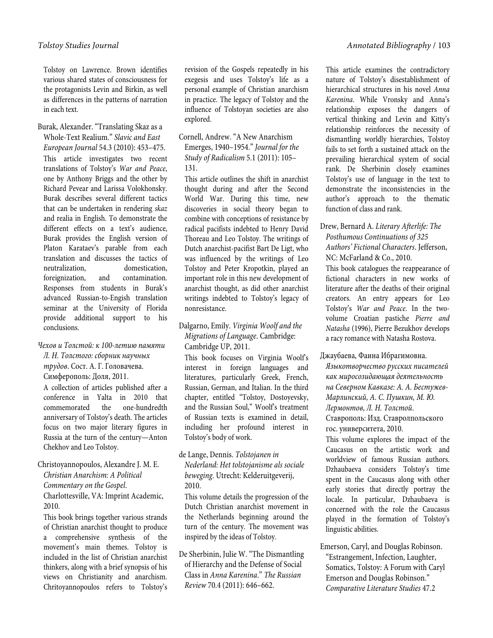Tolstoy on Lawrence. Brown identifies various shared states of consciousness for the protagonists Levin and Birkin, as well as differences in the patterns of narration in each text.

## Burak, Alexander. "Translating Skaz as a Whole-Text Realium." *Slavic and East European Journal* 54.3 (2010): 453–475. This article investigates two recent translations of Tolstoy's *War and Peace*, one by Anthony Briggs and the other by Richard Pevear and Larissa Volokhonsky. Burak describes several different tactics that can be undertaken in rendering *skaz*  and realia in English. To demonstrate the different effects on a text's audience, Burak provides the English version of Platon Karataev's parable from each translation and discusses the tactics of neutralization, domestication, foreignization, and contamination. Responses from students in Burak's advanced Russian-to-Engish translation seminar at the University of Florida provide additional support to his conclusions.

## *Чехов и Толстой: к 100-летию памяти Л. Н. Толстого: сборник научных трудов*. Сост. А. Г. Головачева.

Симферополь: Доля, 2011.

A collection of articles published after a conference in Yalta in 2010 that commemorated the one-hundredth anniversary of Tolstoy's death. The articles focus on two major literary figures in Russia at the turn of the century—Anton Chekhov and Leo Tolstoy.

## Christoyannopoulos, Alexandre J. M. E. *Christian Anarchism: A Political Commentary on the Gospel*.

Charlottesville, VA: Imprint Academic, 2010.

This book brings together various strands of Christian anarchist thought to produce a comprehensive synthesis of the movement's main themes. Tolstoy is included in the list of Christian anarchist thinkers, along with a brief synopsis of his views on Christianity and anarchism. Chritoyannopoulos refers to Tolstoy's revision of the Gospels repeatedly in his exegesis and uses Tolstoy's life as a personal example of Christian anarchism in practice. The legacy of Tolstoy and the influence of Tolstoyan societies are also explored.

## Cornell, Andrew. "A New Anarchism Emerges, 1940–1954." *Journal for the Study of Radicalism* 5.1 (2011): 105– 131.

This article outlines the shift in anarchist thought during and after the Second World War. During this time, new discoveries in social theory began to combine with conceptions of resistance by radical pacifists indebted to Henry David Thoreau and Leo Tolstoy. The writings of Dutch anarchist-pacifist Bart De Ligt, who was influenced by the writings of Leo Tolstoy and Peter Kropotkin, played an important role in this new development of anarchist thought, as did other anarchist writings indebted to Tolstoy's legacy of nonresistance.

## Dalgarno, Emily. *Virginia Woolf and the Migrations of Language*. Cambridge: Cambridge UP, 2011.

This book focuses on Virginia Woolf's interest in foreign languages and literatures, particularly Greek, French, Russian, German, and Italian. In the third chapter, entitled "Tolstoy, Dostoyevsky, and the Russian Soul," Woolf's treatment of Russian texts is examined in detail, including her profound interest in Tolstoy's body of work.

## de Lange, Dennis. *Tolstojanen in Nederland: Het tolstojanisme als sociale beweging*. Utrecht: Kelderuitgeverij, 2010.

This volume details the progression of the Dutch Christian anarchist movement in the Netherlands beginning around the turn of the century. The movement was inspired by the ideas of Tolstoy.

De Sherbinin, Julie W. "The Dismantling of Hierarchy and the Defense of Social Class in *Anna Karenina*." *The Russian Review* 70.4 (2011): 646–662.

This article examines the contradictory nature of Tolstoy's disestablishment of hierarchical structures in his novel *Anna Karenina*. While Vronsky and Anna's relationship exposes the dangers of vertical thinking and Levin and Kitty's relationship reinforces the necessity of dismantling worldly hierarchies, Tolstoy fails to set forth a sustained attack on the prevailing hierarchical system of social rank. De Sherbinin closely examines Tolstoy's use of language in the text to demonstrate the inconsistencies in the author's approach to the thematic function of class and rank.

## Drew, Bernard A. *Literary Afterlife: The Posthumous Continuations of 325 Authors' Fictional Characters*. Jefferson, NC: McFarland & Co., 2010.

This book catalogues the reappearance of fictional characters in new works of literature after the deaths of their original creators. An entry appears for Leo Tolstoy's *War and Peace*. In the twovolume Croatian pastiche *Pierre and Natasha* (1996), Pierre Bezukhov develops a racy romance with Natasha Rostova.

## Джаубаева, Фаина Ибрагимовна.

*Языкотворчество русских писателей как миросозидающая деятельность на Северном Кавказе: А. А. Бестужев-Марлинский, А. С. Пушкин, М. Ю. Лермонтов, Л. Н. Толстой*. Ставрополь: Изд. Ставролпольского

гос. университета, 2010.

This volume explores the impact of the Caucasus on the artistic work and worldview of famous Russian authors. Dzhaubaeva considers Tolstoy's time spent in the Caucasus along with other early stories that directly portray the locale. In particular, Dzhaubaeva is concerned with the role the Caucasus played in the formation of Tolstoy's linguistic abilities.

Emerson, Caryl, and Douglas Robinson. "Estrangement, Infection, Laughter, Somatics, Tolstoy: A Forum with Caryl Emerson and Douglas Robinson." *Comparative Literature Studies* 47.2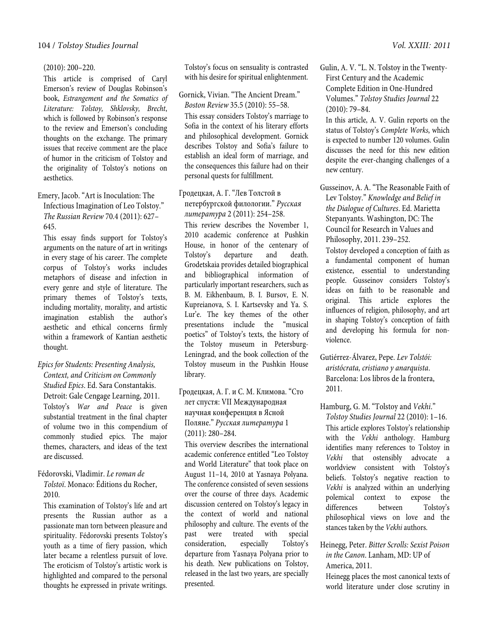#### (2010): 200–220.

This article is comprised of Caryl Emerson's review of Douglas Robinson's book, *Estrangement and the Somatics of Literature: Tolstoy, Shklovsky, Brecht*, which is followed by Robinson's response to the review and Emerson's concluding thoughts on the exchange. The primary issues that receive comment are the place of humor in the criticism of Tolstoy and the originality of Tolstoy's notions on aesthetics.

Emery, Jacob. "Art is Inoculation: The Infectious Imagination of Leo Tolstoy." *The Russian Review* 70.4 (2011): 627– 645.

This essay finds support for Tolstoy's arguments on the nature of art in writings in every stage of his career. The complete corpus of Tolstoy's works includes metaphors of disease and infection in every genre and style of literature. The primary themes of Tolstoy's texts, including mortality, morality, and artistic imagination establish the author's aesthetic and ethical concerns firmly within a framework of Kantian aesthetic thought.

## *Epics for Students: Presenting Analysis, Context, and Criticism on Commonly Studied Epics*. Ed. Sara Constantakis.

Detroit: Gale Cengage Learning, 2011. Tolstoy's *War and Peace* is given substantial treatment in the final chapter of volume two in this compendium of commonly studied epics. The major themes, characters, and ideas of the text are discussed.

## Fédorovski, Vladimir. *Le roman de Tolstoï*. Monaco: Éditions du Rocher,

2010.

This examination of Tolstoy's life and art presents the Russian author as a passionate man torn between pleasure and spirituality. Fédorovski presents Tolstoy's youth as a time of fiery passion, which later became a relentless pursuit of love. The eroticism of Tolstoy's artistic work is highlighted and compared to the personal thoughts he expressed in private writings.

Tolstoy's focus on sensuality is contrasted with his desire for spiritual enlightenment.

Gornick, Vivian. "The Ancient Dream." *Boston Review* 35.5 (2010): 55–58.

This essay considers Tolstoy's marriage to Sofia in the context of his literary efforts and philosophical development. Gornick describes Tolstoy and Sofia's failure to establish an ideal form of marriage, and the consequences this failure had on their personal quests for fulfillment.

Гродецкая, А. Г. "Лев Толстой в петербургской филологии." *Русская литература* 2 (2011): 254–258.

This review describes the November 1, 2010 academic conference at Pushkin House, in honor of the centenary of Tolstoy's departure and death. Grodetskaia provides detailed biographical and bibliographical information of particularly important researchers, such as B. M. Eikhenbaum, B. I. Bursov, E. N. Kupreianova, S. I. Kartsevsky and Ya. S. Lur'e. The key themes of the other presentations include the "musical poetics" of Tolstoy's texts, the history of the Tolstoy museum in Petersburg-Leningrad, and the book collection of the Tolstoy museum in the Pushkin House library.

## Гродецкая, А. Г. и С. М. Климова. "Сто лет спустя: VII Международная научная конференция в Ясной Поляне." *Русская литература* 1 (2011): 280–284.

This overview describes the international academic conference entitled "Leo Tolstoy and World Literature" that took place on August 11–14, 2010 at Yasnaya Polyana. The conference consisted of seven sessions over the course of three days. Academic discussion centered on Tolstoy's legacy in the context of world and national philosophy and culture. The events of the past were treated with special consideration, especially Tolstoy's departure from Yasnaya Polyana prior to his death. New publications on Tolstoy, released in the last two years, are specially presented.

Gulin, A. V. "L. N. Tolstoy in the Twenty-First Century and the Academic Complete Edition in One-Hundred Volumes." *Tolstoy Studies Journal* 22 (2010): 79–84.

In this article, A. V. Gulin reports on the status of Tolstoy's *Complete Works*, which is expected to number 120 volumes. Gulin discusses the need for this new edition despite the ever-changing challenges of a new century.

Gusseinov, A. A. "The Reasonable Faith of Lev Tolstoy." *Knowledge and Belief in the Dialogue of Cultures*. Ed. Marietta Stepanyants. Washington, DC: The Council for Research in Values and Philosophy, 2011. 239–252.

Tolstoy developed a conception of faith as a fundamental component of human existence, essential to understanding people. Gusseinov considers Tolstoy's ideas on faith to be reasonable and original. This article explores the influences of religion, philosophy, and art in shaping Tolstoy's conception of faith and developing his formula for nonviolence.

Gutiérrez-Álvarez, Pepe. *Lev Tolstói: aristócrata, cristiano y anarquista*. Barcelona: Los libros de la frontera, 2011.

Hamburg, G. M. "Tolstoy and *Vekhi*." *Tolstoy Studies Journal* 22 (2010): 1–16. This article explores Tolstoy's relationship with the *Vekhi* anthology. Hamburg identifies many references to Tolstoy in *Vekhi* that ostensibly advocate a worldview consistent with Tolstoy's beliefs. Tolstoy's negative reaction to *Vekhi* is analyzed within an underlying polemical context to expose the differences between Tolstoy's philosophical views on love and the stances taken by the *Vekhi* authors.

## Heinegg, Peter. *Bitter Scrolls: Sexist Poison in the Canon*. Lanham, MD: UP of America, 2011.

Heinegg places the most canonical texts of world literature under close scrutiny in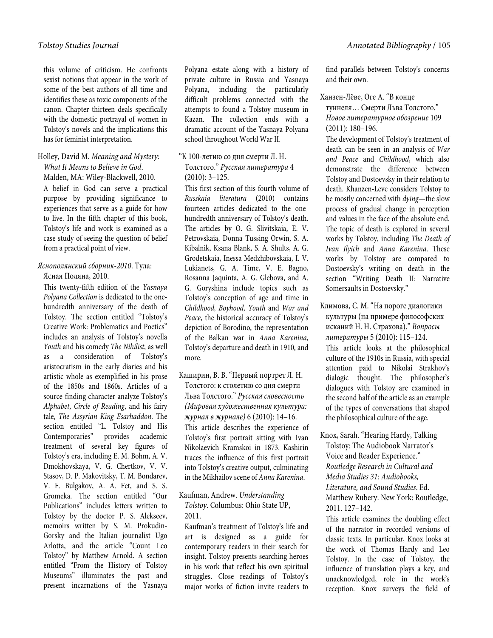this volume of criticism. He confronts sexist notions that appear in the work of some of the best authors of all time and identifies these as toxic components of the canon. Chapter thirteen deals specifically with the domestic portrayal of women in Tolstoy's novels and the implications this has for feminist interpretation.

## Holley, David M. *Meaning and Mystery: What It Means to Believe in God*.

Malden, MA: Wiley-Blackwell, 2010.

A belief in God can serve a practical purpose by providing significance to experiences that serve as a guide for how to live. In the fifth chapter of this book, Tolstoy's life and work is examined as a case study of seeing the question of belief from a practical point of view.

## *Яснополянский сборник-2010*. Тула: Ясная Поляна, 2010.

This twenty-fifth edition of the *Yasnaya Polyana Collection* is dedicated to the onehundredth anniversary of the death of Tolstoy. The section entitled "Tolstoy's Creative Work: Problematics and Poetics" includes an analysis of Tolstoy's novella *Youth* and his comedy *The Nihilist*, as well as a consideration of Tolstoy's aristocratism in the early diaries and his artistic whole as exemplified in his prose of the 1850s and 1860s. Articles of a source-finding character analyze Tolstoy's *Alphabet*, *Circle of Reading*, and his fairy tale, *The Assyrian King Esarhaddon*. The section entitled "L. Tolstoy and His Contemporaries" provides academic treatment of several key figures of Tolstoy's era, including E. M. Bohm, A. V. Dmokhovskaya, V. G. Chertkov, V. V. Stasov, D. P. Makovitsky, T. M. Bondarev, V. F. Bulgakov, A. A. Fet, and S. S. Gromeka. The section entitled "Our Publications" includes letters written to Tolstoy by the doctor P. S. Alekseev, memoirs written by S. M. Prokudin-Gorsky and the Italian journalist Ugo Arlotta, and the article "Count Leo Tolstoy" by Matthew Arnold. A section entitled "From the History of Tolstoy Museums" illuminates the past and present incarnations of the Yasnaya

Polyana estate along with a history of private culture in Russia and Yasnaya Polyana, including the particularly difficult problems connected with the attempts to found a Tolstoy museum in Kazan. The collection ends with a dramatic account of the Yasnaya Polyana school throughout World War II.

## "К 100-летию со дня смерти Л. Н. Толстого." *Русская литература* 4 (2010): 3–125.

This first section of this fourth volume of *Russkaia literatura* (2010) contains fourteen articles dedicated to the onehundredth anniversary of Tolstoy's death. The articles by O. G. Slivitskaia, E. V. Petrovskaia, Donna Tussing Orwin, S. A. Kibalnik, Ksana Blank, S. A. Shults, A. G. Grodetskaia, Inessa Medzhibovskaia, I. V. Lukianets, G. A. Time, V. E. Bagno, Rosanna Jaquinta, A. G. Glebova, and A. G. Goryshina include topics such as Tolstoy's conception of age and time in *Childhood, Boyhood, Youth* and *War and Peace*, the historical accuracy of Tolstoy's depiction of Borodino, the representation of the Balkan war in *Anna Karenina*, Tolstoy's departure and death in 1910, and more.

Каширин, В. В. "Первый портрет Л. Н. Толстого: к столетию со дня смерти Льва Толстого." *Русская словесность (Мировая художественная культура: журнал в журнале)* 6 (2010): 14–16. This article describes the experience of Tolstoy's first portrait sitting with Ivan Nikolaevich Kramskoi in 1873. Kashirin traces the influence of this first portrait into Tolstoy's creative output, culminating in the Mikhailov scene of *Anna Karenina*.

## Kaufman, Andrew. *Understanding Tolstoy*. Columbus: Ohio State UP, 2011.

Kaufman's treatment of Tolstoy's life and art is designed as a guide for contemporary readers in their search for insight. Tolstoy presents searching heroes in his work that reflect his own spiritual struggles. Close readings of Tolstoy's major works of fiction invite readers to

find parallels between Tolstoy's concerns and their own.

Ханзен-Лёве, Оге А. "В конце туннеля… Смерти Льва Толстого." *Новое литературное обозрение* 109 (2011): 180–196.

The development of Tolstoy's treatment of death can be seen in an analysis of *War and Peace* and *Childhood*, which also demonstrate the difference between Tolstoy and Dostoevsky in their relation to death. Khanzen-Leve considers Tolstoy to be mostly concerned with *dying*—the slow process of gradual change in perception and values in the face of the absolute end. The topic of death is explored in several works by Tolstoy, including *The Death of Ivan Ilyich* and *Anna Karenina*. These works by Tolstoy are compared to Dostoevsky's writing on death in the section "Writing Death II: Narrative Somersaults in Dostoevsky."

Климова, С. М. "На пороге диалогики культуры (на примере философских исканий Н. Н. Страхова)." *Вопросы литературы* 5 (2010): 115–124. This article looks at the philosophical culture of the 1910s in Russia, with special attention paid to Nikolai Strakhov's dialogic thought. The philosopher's dialogues with Tolstoy are examined in the second half of the article as an example of the types of conversations that shaped the philosophical culture of the age.

Knox, Sarah. "Hearing Hardy, Talking Tolstoy: The Audiobook Narrator's Voice and Reader Experience." *Routledge Research in Cultural and Media Studies 31: Audiobooks, Literature, and Sound Studies*. Ed. Matthew Rubery. New York: Routledge, 2011. 127–142.

This article examines the doubling effect of the narrator in recorded versions of classic texts. In particular, Knox looks at the work of Thomas Hardy and Leo Tolstoy. In the case of Tolstoy, the influence of translation plays a key, and unacknowledged, role in the work's reception. Knox surveys the field of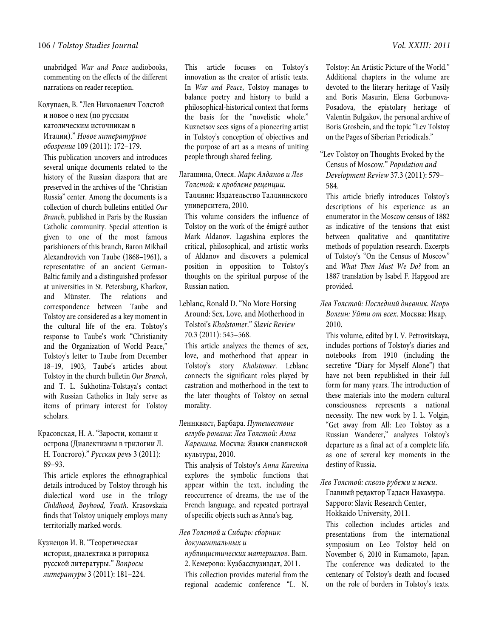unabridged *War and Peace* audiobooks, commenting on the effects of the different narrations on reader reception.

Колупаев, В. "Лев Николаевич Толстой и новое о нем (по русским католическим источникам в Италии)." *Новое литературное обозрение* 109 (2011): 172–179.

This publication uncovers and introduces several unique documents related to the history of the Russian diaspora that are preserved in the archives of the "Christian Russia" center. Among the documents is a collection of church bulletins entitled *Our Branch*, published in Paris by the Russian Catholic community. Special attention is given to one of the most famous parishioners of this branch, Baron Mikhail Alexandrovich von Taube (1868–1961), a representative of an ancient German-Baltic family and a distinguished professor at universities in St. Petersburg, Kharkov, and Münster. The relations and correspondence between Taube and Tolstoy are considered as a key moment in the cultural life of the era. Tolstoy's response to Taube's work "Christianity and the Organization of World Peace," Tolstoy's letter to Taube from December 18–19, 1903, Taube's articles about Tolstoy in the church bulletin *Our Branch*, and T. L. Sukhotina-Tolstaya's contact with Russian Catholics in Italy serve as items of primary interest for Tolstoy scholars.

## Красовская, Н. А. "Зарости, копани и острова (Диалектизмы в трилогии Л. Н. Толстого)." *Русская речь* 3 (2011): 89–93.

This article explores the ethnographical details introduced by Tolstoy through his dialectical word use in the trilogy *Childhood, Boyhood, Youth*. Krasovskaia finds that Tolstoy uniquely employs many territorially marked words.

Кузнецов И. В. "Теоретическая история, диалектика и риторика русской литературы." *Вопросы литературы* 3 (2011): 181–224.

This article focuses on Tolstoy's innovation as the creator of artistic texts. In *War and Peace*, Tolstoy manages to balance poetry and history to build a philosophical-historical context that forms the basis for the "novelistic whole." Kuznetsov sees signs of a pioneering artist in Tolstoy's conception of objectives and the purpose of art as a means of uniting people through shared feeling.

Лагашина, Олеся. *Марк Алданов и Лев Толстой: к проблеме рецепции*. Таллинн: Издательство Таллиннского университета, 2010.

This volume considers the influence of Tolstoy on the work of the émigré author Mark Aldanov. Lagashina explores the critical, philosophical, and artistic works of Aldanov and discovers a polemical position in opposition to Tolstoy's thoughts on the spiritual purpose of the Russian nation.

Leblanc, Ronald D. "No More Horsing Around: Sex, Love, and Motherhood in Tolstoi's *Kholstomer*." *Slavic Review* 70.3 (2011): 545–568.

This article analyzes the themes of sex, love, and motherhood that appear in Tolstoy's story *Kholstomer*. Leblanc connects the significant roles played by castration and motherhood in the text to the later thoughts of Tolstoy on sexual morality.

## Леннквист, Барбара. *Путешествие вглубь романа: Лев Толстой: Анна Каренина*. Москва: Языки славянской культуры, 2010.

This analysis of Tolstoy's *Anna Karenina* explores the symbolic functions that appear within the text, including the reoccurrence of dreams, the use of the French language, and repeated portrayal of specific objects such as Anna's bag.

*Лев Толстой и Сибирь: сборник документальных и* 

*публицистических материалов*. Вып. 2. Кемерово: Кузбассвузиздат, 2011. This collection provides material from the regional academic conference "L. N.

Tolstoy: An Artistic Picture of the World." Additional chapters in the volume are devoted to the literary heritage of Vasily and Boris Masurin, Elena Gorbunova-Posadova, the epistolary heritage of Valentin Bulgakov, the personal archive of Boris Grosbein, and the topic "Lev Tolstoy on the Pages of Siberian Periodicals."

## "Lev Tolstoy on Thoughts Evoked by the Census of Moscow." *Population and Development Review* 37.3 (2011): 579– 584.

This article briefly introduces Tolstoy's descriptions of his experience as an enumerator in the Moscow census of 1882 as indicative of the tensions that exist between qualitative and quantitative methods of population research. Excerpts of Tolstoy's "On the Census of Moscow" and *What Then Must We Do?* from an 1887 translation by Isabel F. Hapgood are provided.

## *Лев Толстой: Последний дневник. Игорь Волгин: Уйти от всех*. Москва: Икар, 2010.

This volume, edited by I. V. Petrovitskaya, includes portions of Tolstoy's diaries and notebooks from 1910 (including the secretive "Diary for Myself Alone") that have not been republished in their full form for many years. The introduction of these materials into the modern cultural consciousness represents a national necessity. The new work by I. L. Volgin, "Get away from All: Leo Tolstoy as a Russian Wanderer," analyzes Tolstoy's departure as a final act of a complete life, as one of several key moments in the destiny of Russia.

*Лев Толстой: сквозь рубежи и межи*. Главный редактор Тадаси Накамура. Sapporo: Slavic Research Center, Hokkaido University, 2011.

This collection includes articles and presentations from the international symposium on Leo Tolstoy held on November 6, 2010 in Kumamoto, Japan. The conference was dedicated to the centenary of Tolstoy's death and focused on the role of borders in Tolstoy's texts.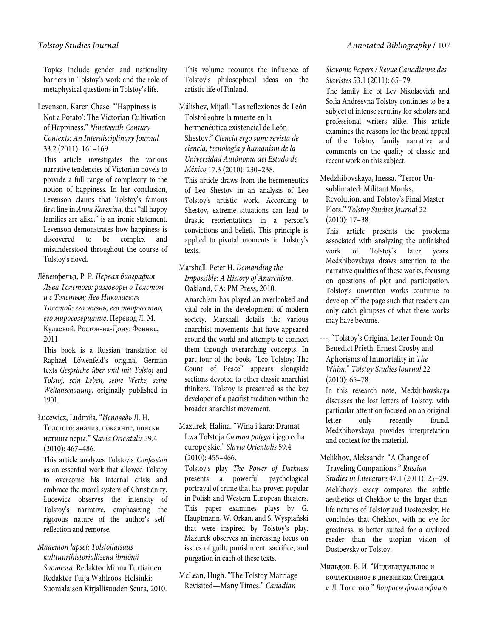Topics include gender and nationality barriers in Tolstoy's work and the role of metaphysical questions in Tolstoy's life.

Levenson, Karen Chase. "'Happiness is Not a Potato': The Victorian Cultivation of Happiness." *Nineteenth-Century Contexts: An Interdisciplinary Journal* 33.2 (2011): 161–169.

This article investigates the various narrative tendencies of Victorian novels to provide a full range of complexity to the notion of happiness. In her conclusion, Levenson claims that Tolstoy's famous first line in *Anna Karenina*, that "all happy families are alike," is an ironic statement. Levenson demonstrates how happiness is discovered to be complex and misunderstood throughout the course of Tolstoy's novel.

Лёвенфельд, Р. Р. *Первая биография Льва Толстого: разговоры о Толстом и с Толстым; Лев Николаевич Толстой: его жизнь, его творчество, его миросозерцание*. Перевод Л. М. Кулаевой. Ростов-на-Дону: Феникс, 2011.

This book is a Russian translation of Raphael Löwenfeld's original German texts *Gespräche über und mit Tolstoj* and *Tolstoj, sein Leben, seine Werke, seine Weltanschauung*, originally published in 1901.

Łucewicz, Ludmiła. "*Исповедь* Л. Н. Толстого: анализ, покаяние, поиски истины веры." *Slavia Orientalis* 59.4 (2010): 467–486.

This article analyzes Tolstoy's *Confession* as an essential work that allowed Tolstoy to overcome his internal crisis and embrace the moral system of Christianity. Łucewicz observes the intensity of Tolstoy's narrative, emphasizing the rigorous nature of the author's selfreflection and remorse.

*Maaemon lapset: Tolstoilaisuus kulttuurihistoriallisena ilmiönä Suomessa*. Redaktør Minna Turtiainen. Redaktør Tuija Wahlroos. Helsinki: Suomalaisen Kirjallisuuden Seura, 2010. This volume recounts the influence of Tolstoy's philosophical ideas on the artistic life of Finland.

Málishev, Mijaíl. "Las reflexiones de León Tolstoi sobre la muerte en la hermenéutica existencial de León Shestov." *Ciencia ergo sum: revista de ciencia, tecnología y humanism de la Universidad Autónoma del Estado de México* 17.3 (2010): 230–238.

This article draws from the hermeneutics of Leo Shestov in an analysis of Leo Tolstoy's artistic work. According to Shestov, extreme situations can lead to drastic reorientations in a person's convictions and beliefs. This principle is applied to pivotal moments in Tolstoy's texts.

## Marshall, Peter H. *Demanding the Impossible: A History of Anarchism*. Oakland, CA: PM Press, 2010.

Anarchism has played an overlooked and vital role in the development of modern society. Marshall details the various anarchist movements that have appeared around the world and attempts to connect them through overarching concepts. In part four of the book, "Leo Tolstoy: The Count of Peace" appears alongside sections devoted to other classic anarchist thinkers. Tolstoy is presented as the key developer of a pacifist tradition within the broader anarchist movement.

## Mazurek, Halina. "Wina i kara: Dramat Lwa Tołstoja *Ciemna potęga* i jego echa europejskie." *Slavia Orientalis* 59.4 (2010): 455–466.

Tolstoy's play *The Power of Darkness* presents a powerful psychological portrayal of crime that has proven popular in Polish and Western European theaters. This paper examines plays by G. Hauptmann, W. Orkan, and S. Wyspiański that were inspired by Tolstoy's play. Mazurek observes an increasing focus on issues of guilt, punishment, sacrifice, and purgation in each of these texts.

McLean, Hugh. "The Tolstoy Marriage Revisited—Many Times." *Canadian* 

*Slavonic Papers / Revue Canadienne des Slavistes* 53.1 (2011): 65–79.

The family life of Lev Nikolaevich and Sofia Andreevna Tolstoy continues to be a subject of intense scrutiny for scholars and professional writers alike. This article examines the reasons for the broad appeal of the Tolstoy family narrative and comments on the quality of classic and recent work on this subject.

Medzhibovskaya, Inessa. "Terror Unsublimated: Militant Monks, Revolution, and Tolstoy's Final Master Plots." *Tolstoy Studies Journal* 22 (2010): 17–38.

This article presents the problems associated with analyzing the unfinished work of Tolstoy's later years. Medzhibovskaya draws attention to the narrative qualities of these works, focusing on questions of plot and participation. Tolstoy's unwritten works continue to develop off the page such that readers can only catch glimpses of what these works may have become.

---, "Tolstoy's Original Letter Found: On Benedict Prieth, Ernest Crosby and Aphorisms of Immortality in *The Whim*." *Tolstoy Studies Journal* 22 (2010): 65–78.

In this research note, Medzhibovskaya discusses the lost letters of Tolstoy, with particular attention focused on an original letter only recently found. Medzhibovskaya provides interpretation and context for the material.

## Melikhov, Aleksandr. "A Change of

Traveling Companions." *Russian Studies in Literature* 47.1 (2011): 25–29. Melikhov's essay compares the subtle aesthetics of Chekhov to the larger-thanlife natures of Tolstoy and Dostoevsky. He concludes that Chekhov, with no eye for greatness, is better suited for a civilized reader than the utopian vision of Dostoevsky or Tolstoy.

Мильдон, В. И. "Индивидуальное и коллективное в дневниках Стендаля и Л. Толстого." *Вопросы философии* 6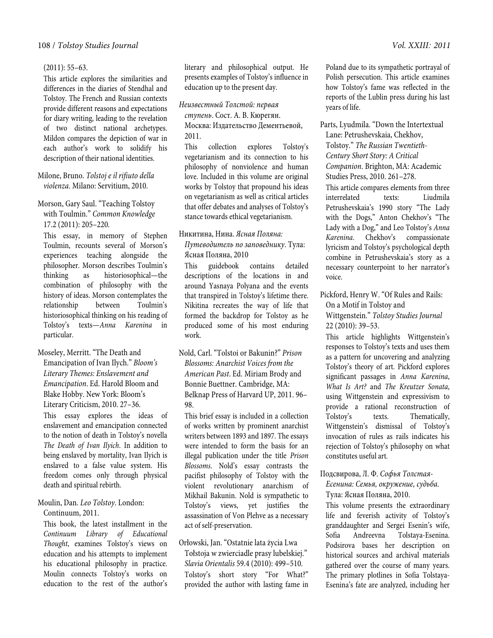#### (2011): 55–63.

This article explores the similarities and differences in the diaries of Stendhal and Tolstoy. The French and Russian contexts provide different reasons and expectations for diary writing, leading to the revelation of two distinct national archetypes. Mildon compares the depiction of war in each author's work to solidify his description of their national identities.

Milone, Bruno. *Tolstoj e il rifiuto della violenza*. Milano: Servitium, 2010.

Morson, Gary Saul. "Teaching Tolstoy with Toulmin." *Common Knowledge* 17.2 (2011): 205–220.

This essay, in memory of Stephen Toulmin, recounts several of Morson's experiences teaching alongside the philosopher. Morson describes Toulmin's thinking as historiosophical—the combination of philosophy with the history of ideas. Morson contemplates the relationship between Toulmin's historiosophical thinking on his reading of Tolstoy's texts—*Anna Karenina* in particular.

Moseley, Merritt. "The Death and Emancipation of Ivan Ilych." *Bloom's Literary Themes: Enslavement and Emancipation*. Ed. Harold Bloom and Blake Hobby. New York: Bloom's Literary Criticism, 2010. 27–36.

This essay explores the ideas of enslavement and emancipation connected to the notion of death in Tolstoy's novella *The Death of Ivan Ilyich*. In addition to being enslaved by mortality, Ivan Ilyich is enslaved to a false value system. His freedom comes only through physical death and spiritual rebirth.

## Moulin, Dan. *Leo Tolstoy*. London:

Continuum, 2011.

This book, the latest installment in the *Continuum Library of Educational Thought*, examines Tolstoy's views on education and his attempts to implement his educational philosophy in practice. Moulin connects Tolstoy's works on education to the rest of the author's

literary and philosophical output. He presents examples of Tolstoy's influence in education up to the present day.

*Неизвестный Толстой: первая* 

*ступень*. Сост. А. В. Кюрегян. Москва: Издательство Дементьевой, 2011.

This collection explores Tolstoy's vegetarianism and its connection to his philosophy of nonviolence and human love. Included in this volume are original works by Tolstoy that propound his ideas on vegetarianism as well as critical articles that offer debates and analyses of Tolstoy's stance towards ethical vegetarianism.

Никитина, Нина. *Ясная Поляна:* 

*Путеводитель по заповеднику*. Тула: Ясная Поляна, 2010

This guidebook contains detailed descriptions of the locations in and around Yasnaya Polyana and the events that transpired in Tolstoy's lifetime there. Nikitina recreates the way of life that formed the backdrop for Tolstoy as he produced some of his most enduring work.

Nold, Carl. "Tolstoi or Bakunin?" *Prison Blossoms: Anarchist Voices from the American Past*. Ed. Miriam Brody and Bonnie Buettner. Cambridge, MA: Belknap Press of Harvard UP, 2011. 96– 98.

This brief essay is included in a collection of works written by prominent anarchist writers between 1893 and 1897. The essays were intended to form the basis for an illegal publication under the title *Prison Blossoms*. Nold's essay contrasts the pacifist philosophy of Tolstoy with the violent revolutionary anarchism of Mikhail Bakunin. Nold is sympathetic to Tolstoy's views, yet justifies the assassination of Von Plehve as a necessary act of self-preservation.

Orłowski, Jan. "Ostatnie lata życia Lwa Tołstoja w zwierciadle prasy lubelskiej." *Slavia Orientalis* 59.4 (2010): 499–510. Tolstoy's short story "For What?" provided the author with lasting fame in

Poland due to its sympathetic portrayal of Polish persecution. This article examines how Tolstoy's fame was reflected in the reports of the Lublin press during his last years of life.

Parts, Lyudmila. "Down the Intertextual Lane: Petrushevskaia, Chekhov, Tolstoy." *The Russian Twentieth-Century Short Story: A Critical Companion*. Brighton, MA: Academic Studies Press, 2010. 261–278. This article compares elements from three interrelated texts: Liudmila Petrushevskaia's 1990 story "The Lady with the Dogs," Anton Chekhov's "The Lady with a Dog," and Leo Tolstoy's *Anna Karenina*. Chekhov's compassionate lyricism and Tolstoy's psychological depth combine in Petrushevskaia's story as a necessary counterpoint to her narrator's voice.

Pickford, Henry W. "Of Rules and Rails: On a Motif in Tolstoy and Wittgenstein." *Tolstoy Studies Journal*  22 (2010): 39–53.

This article highlights Wittgenstein's responses to Tolstoy's texts and uses them as a pattern for uncovering and analyzing Tolstoy's theory of art. Pickford explores significant passages in *Anna Karenina*, *What Is Art?* and *The Kreutzer Sonata*, using Wittgenstein and expressivism to provide a rational reconstruction of Tolstoy's texts. Thematically, Wittgenstein's dismissal of Tolstoy's invocation of rules as rails indicates his rejection of Tolstoy's philosophy on what constitutes useful art.

## Подсвирова, Л. Ф. *Софья Толстая-*

*Есенина: Семья, окружение, судьба.* Тула: Ясная Поляна, 2010.

This volume presents the extraordinary life and feverish activity of Tolstoy's granddaughter and Sergei Esenin's wife, Sofia Andreevna Tolstaya-Esenina. Podsirova bases her description on historical sources and archival materials gathered over the course of many years. The primary plotlines in Sofia Tolstaya-Esenina's fate are analyzed, including her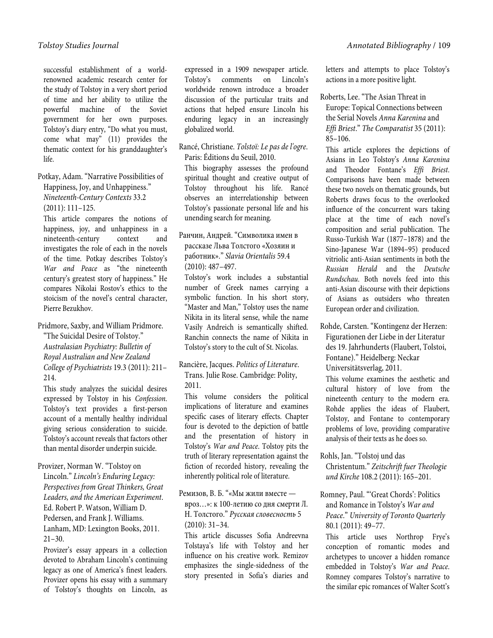successful establishment of a worldrenowned academic research center for the study of Tolstoy in a very short period of time and her ability to utilize the powerful machine of the Soviet government for her own purposes. Tolstoy's diary entry, "Do what you must, come what may" (11) provides the thematic context for his granddaughter's life.

Potkay, Adam. "Narrative Possibilities of Happiness, Joy, and Unhappiness." *Nineteenth-Century Contexts* 33.2 (2011): 111–125.

This article compares the notions of happiness, joy, and unhappiness in a nineteenth-century context and investigates the role of each in the novels of the time. Potkay describes Tolstoy's *War and Peace* as "the nineteenth century's greatest story of happiness." He compares Nikolai Rostov's ethics to the stoicism of the novel's central character, Pierre Bezukhov.

Pridmore, Saxby, and William Pridmore.

"The Suicidal Desire of Tolstoy." *Australasian Psychiatry: Bulletin of Royal Australian and New Zealand College of Psychiatrists* 19.3 (2011): 211– 214.

This study analyzes the suicidal desires expressed by Tolstoy in his *Confession*. Tolstoy's text provides a first-person account of a mentally healthy individual giving serious consideration to suicide. Tolstoy's account reveals that factors other than mental disorder underpin suicide.

Provizer, Norman W. "Tolstoy on Lincoln." *Lincoln's Enduring Legacy: Perspectives from Great Thinkers, Great Leaders, and the American Experiment*. Ed. Robert P. Watson, William D. Pedersen, and Frank J. Williams. Lanham, MD: Lexington Books, 2011. 21–30.

Provizer's essay appears in a collection devoted to Abraham Lincoln's continuing legacy as one of America's finest leaders. Provizer opens his essay with a summary of Tolstoy's thoughts on Lincoln, as

expressed in a 1909 newspaper article. Tolstoy's comments on Lincoln's worldwide renown introduce a broader discussion of the particular traits and actions that helped ensure Lincoln his enduring legacy in an increasingly globalized world.

Rancé, Christiane. *Tolstoï: Le pas de l'ogre*. Paris: Éditions du Seuil, 2010.

This biography assesses the profound spiritual thought and creative output of Tolstoy throughout his life. Rancé observes an interrelationship between Tolstoy's passionate personal life and his unending search for meaning.

## Ранчин, Андрей. "Символика имен в рассказе Льва Толстого «Хозяин и работник»." *Slavia Orientalis* 59.4 (2010): 487–497.

Tolstoy's work includes a substantial number of Greek names carrying a symbolic function. In his short story, "Master and Man," Tolstoy uses the name Nikita in its literal sense, while the name Vasily Andreich is semantically shifted. Ranchin connects the name of Nikita in Tolstoy's story to the cult of St. Nicolas.

Rancière, Jacques. *Politics of Literature*. Trans. Julie Rose. Cambridge: Polity, 2011.

This volume considers the political implications of literature and examines specific cases of literary effects. Chapter four is devoted to the depiction of battle and the presentation of history in Tolstoy's *War and Peace*. Tolstoy pits the truth of literary representation against the fiction of recorded history, revealing the inherently political role of literature.

## Ремизов, В. Б. "«Мы жили вместе вроз…»: к 100-летию со дня смерти Л. Н. Толстого." *Русская словесность* 5 (2010): 31–34.

This article discusses Sofia Andreevna Tolstaya's life with Tolstoy and her influence on his creative work. Remizov emphasizes the single-sidedness of the story presented in Sofia's diaries and letters and attempts to place Tolstoy's actions in a more positive light.

Roberts, Lee. "The Asian Threat in Europe: Topical Connections between the Serial Novels *Anna Karenina* and *Effi Briest*." *The Comparatist* 35 (2011): 85–106.

This article explores the depictions of Asians in Leo Tolstoy's *Anna Karenina*  and Theodor Fontane's *Effi Briest*. Comparisons have been made between these two novels on thematic grounds, but Roberts draws focus to the overlooked influence of the concurrent wars taking place at the time of each novel's composition and serial publication. The Russo-Turkish War (1877–1878) and the Sino-Japanese War (1894–95) produced vitriolic anti-Asian sentiments in both the *Russian Herald* and the *Deutsche Rundschau*. Both novels feed into this anti-Asian discourse with their depictions of Asians as outsiders who threaten European order and civilization.

Rohde, Carsten. "Kontingenz der Herzen: Figurationen der Liebe in der Literatur des 19. Jahrhunderts (Flaubert, Tolstoi, Fontane)." Heidelberg: Neckar Universitätsverlag, 2011.

This volume examines the aesthetic and cultural history of love from the nineteenth century to the modern era. Rohde applies the ideas of Flaubert, Tolstoy, and Fontane to contemporary problems of love, providing comparative analysis of their texts as he does so.

Rohls, Jan. "Tolstoj und das Christentum." *Zeitschrift fuer Theologie und Kirche* 108.2 (2011): 165–201.

Romney, Paul. "'Great Chords': Politics and Romance in Tolstoy's *War and Peace*." *University of Toronto Quarterly* 80.1 (2011): 49–77.

This article uses Northrop Frye's conception of romantic modes and archetypes to uncover a hidden romance embedded in Tolstoy's *War and Peace*. Romney compares Tolstoy's narrative to the similar epic romances of Walter Scott's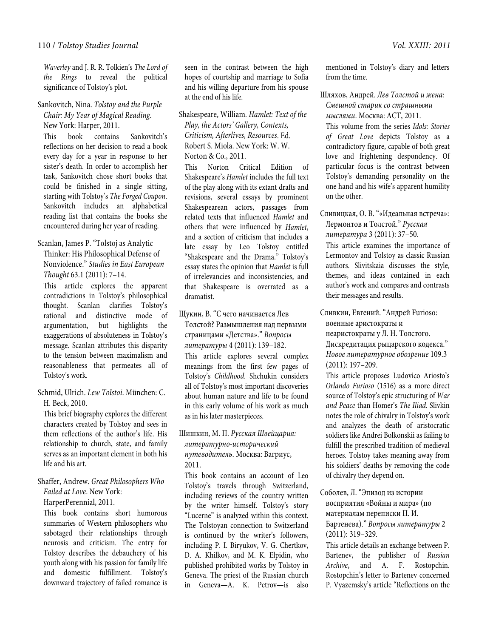*Waverley* and J. R. R. Tolkien's *The Lord of the Rings* to reveal the political significance of Tolstoy's plot.

Sankovitch, Nina. *Tolstoy and the Purple Chair: My Year of Magical Reading*. New York: Harper, 2011.

This book contains Sankovitch's reflections on her decision to read a book every day for a year in response to her sister's death. In order to accomplish her task, Sankovitch chose short books that could be finished in a single sitting, starting with Tolstoy's *The Forged Coupon*. Sankovitch includes an alphabetical reading list that contains the books she encountered during her year of reading.

## Scanlan, James P. "Tolstoj as Analytic Thinker: His Philosophical Defense of Nonviolence." *Studies in East European*

*Thought* 63.1 (2011): 7–14.

This article explores the apparent contradictions in Tolstoy's philosophical thought. Scanlan clarifies Tolstoy's rational and distinctive mode of argumentation, but highlights the exaggerations of absoluteness in Tolstoy's message. Scanlan attributes this disparity to the tension between maximalism and reasonableness that permeates all of Tolstoy's work.

Schmid, Ulrich. *Lew Tolstoi*. München: C. H. Beck, 2010.

This brief biography explores the different characters created by Tolstoy and sees in them reflections of the author's life. His relationship to church, state, and family serves as an important element in both his life and his art.

## Shaffer, Andrew. *Great Philosophers Who Failed at Love*. New York:

HarperPerennial, 2011.

This book contains short humorous summaries of Western philosophers who sabotaged their relationships through neurosis and criticism. The entry for Tolstoy describes the debauchery of his youth along with his passion for family life and domestic fulfillment. Tolstoy's downward trajectory of failed romance is

seen in the contrast between the high hopes of courtship and marriage to Sofia and his willing departure from his spouse at the end of his life.

Shakespeare, William. *Hamlet: Text of the Play, the Actors' Gallery, Contexts, Criticism, Afterlives, Resources*. Ed. Robert S. Miola. New York: W. W. Norton & Co., 2011.

This Norton Critical Edition of Shakespeare's *Hamlet* includes the full text of the play along with its extant drafts and revisions, several essays by prominent Shakespearean actors, passages from related texts that influenced *Hamlet* and others that were influenced by *Hamlet*, and a section of criticism that includes a late essay by Leo Tolstoy entitled "Shakespeare and the Drama." Tolstoy's essay states the opinion that *Hamlet* is full of irrelevancies and inconsistencies, and that Shakespeare is overrated as a dramatist.

Щукин, В. "С чего начинается Лев Толстой? Размышления над первыми страницами «Детства»." *Вопросы литературы* 4 (2011): 139–182. This article explores several complex meanings from the first few pages of Tolstoy's *Childhood*. Shchukin considers all of Tolstoy's most important discoveries about human nature and life to be found in this early volume of his work as much as in his later masterpieces.

## Шишкин, М. П. *Русская Швейцария: литературно-исторический путеводитель*. Москва: Вагриус, 2011.

This book contains an account of Leo Tolstoy's travels through Switzerland, including reviews of the country written by the writer himself. Tolstoy's story "Lucerne" is analyzed within this context. The Tolstoyan connection to Switzerland is continued by the writer's followers, including P. I. Biryukov, V. G. Chertkov, D. A. Khilkov, and M. K. Elpidin, who published prohibited works by Tolstoy in Geneva. The priest of the Russian church in Geneva—A. K. Petrov—is also mentioned in Tolstoy's diary and letters from the time.

Шляхов, Андрей. *Лев Толстой и жена: Смешной старик со страшными мыслями*. Москва: АСТ, 2011.

This volume from the series *Idols: Stories of Great Love* depicts Tolstoy as a contradictory figure, capable of both great love and frightening despondency. Of particular focus is the contrast between Tolstoy's demanding personality on the one hand and his wife's apparent humility on the other.

Сливицкая, О. В. "«Идеальная встреча»: Лермонтов и Толстой." *Русская литература* 3 (2011): 37–50.

This article examines the importance of Lermontov and Tolstoy as classic Russian authors. Slivitskaia discusses the style, themes, and ideas contained in each author's work and compares and contrasts their messages and results.

Сливкин, Евгений. "Андрей Furioso: военные аристократы и неаристократы у Л. Н. Толстого.

Дискредитация рыцарского кодекса." *Новое литературное обозрение* 109.3 (2011): 197–209.

This article proposes Ludovico Ariosto's *Orlando Furioso* (1516) as a more direct source of Tolstoy's epic structuring of *War and Peace* than Homer's *The Iliad*. Slivkin notes the role of chivalry in Tolstoy's work and analyzes the death of aristocratic soldiers like Andrei Bolkonskii as failing to fulfill the prescribed tradition of medieval heroes. Tolstoy takes meaning away from his soldiers' deaths by removing the code of chivalry they depend on.

Соболев, Л. "Эпизод из истории восприятия «Войны и мира» (по материалам переписки П. И. Бартенева)." *Вопросы литературы* 2 (2011): 319–329.

This article details an exchange between P. Bartenev, the publisher of *Russian Archive*, and A. F. Rostopchin. Rostopchin's letter to Bartenev concerned P. Vyazemsky's article "Reflections on the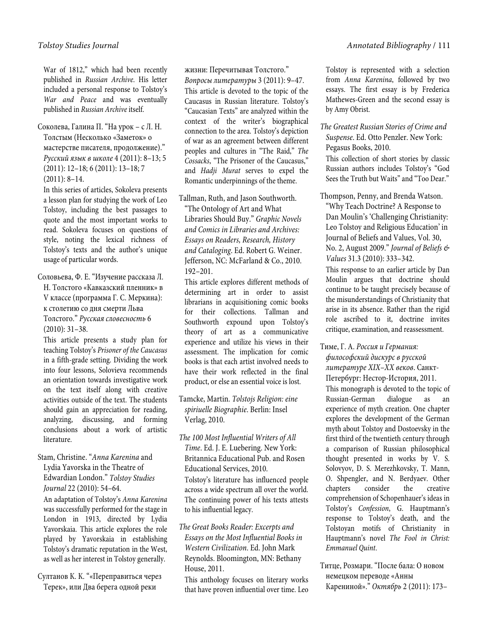War of 1812," which had been recently published in *Russian Archive*. His letter included a personal response to Tolstoy's *War and Peace* and was eventually published in *Russian Archive* itself.

Соколева, Галина П. "На урок – с Л. Н. Толстым (Несколько «Заметок» о мастерстве писателя, продолжение)." *Русский язык в школе* 4 (2011): 8–13; 5 (2011): 12–18; 6 (2011): 13–18; 7 (2011): 8–14.

In this series of articles, Sokoleva presents a lesson plan for studying the work of Leo Tolstoy, including the best passages to quote and the most important works to read. Sokoleva focuses on questions of style, noting the lexical richness of Tolstoy's texts and the author's unique usage of particular words.

Соловьева, Ф. Е. "Изучение рассказа Л. Н. Толстого «Кавказский пленник» в V классе (программа Г. С. Меркина): к столетию со дня смерти Льва Толстого." *Русская словесность* 6 (2010): 31–38.

This article presents a study plan for teaching Tolstoy's *Prisoner of the Caucasus* in a fifth-grade setting. Dividing the work into four lessons, Solovieva recommends an orientation towards investigative work on the text itself along with creative activities outside of the text. The students should gain an appreciation for reading, analyzing, discussing, and forming conclusions about a work of artistic literature.

Stam, Christine. "*Anna Karenina* and Lydia Yavorska in the Theatre of Edwardian London." *Tolstoy Studies Journal* 22 (2010): 54–64.

An adaptation of Tolstoy's *Anna Karenina* was successfully performed for the stage in London in 1913, directed by Lydia Yavorskaia. This article explores the role played by Yavorskaia in establishing Tolstoy's dramatic reputation in the West, as well as her interest in Tolstoy generally.

Султанов К. К. "«Переправиться через Терек», или Два берега одной реки

жизни: Перечитывая Толстого." *Вопросы литературы* 3 (2011): 9–47. This article is devoted to the topic of the Caucasus in Russian literature. Tolstoy's "Caucasian Texts" are analyzed within the context of the writer's biographical connection to the area. Tolstoy's depiction of war as an agreement between different peoples and cultures in "The Raid," *The Cossacks*, "The Prisoner of the Caucasus," and *Hadji Murat* serves to expel the Romantic underpinnings of the theme.

Tallman, Ruth, and Jason Southworth. "The Ontology of Art and What Libraries Should Buy." *Graphic Novels and Comics in Libraries and Archives: Essays on Readers, Research, History and Cataloging*. Ed. Robert G. Weiner. Jefferson, NC: McFarland & Co., 2010. 192–201.

This article explores different methods of determining art in order to assist librarians in acquisitioning comic books for their collections. Tallman and Southworth expound upon Tolstoy's theory of art as a communicative experience and utilize his views in their assessment. The implication for comic books is that each artist involved needs to have their work reflected in the final product, or else an essential voice is lost.

Tamcke, Martin. *Tolstojs Religion: eine spiriuelle Biographie*. Berlin: Insel Verlag, 2010.

*The 100 Most Influential Writers of All Time*. Ed. J. E. Luebering. New York: Britannica Educational Pub. and Rosen Educational Services, 2010. Tolstoy's literature has influenced people across a wide spectrum all over the world. The continuing power of his texts attests to his influential legacy.

*The Great Books Reader: Excerpts and Essays on the Most Influential Books in Western Civilization*. Ed. John Mark Reynolds. Bloomington, MN: Bethany House, 2011.

This anthology focuses on literary works that have proven influential over time. Leo

Tolstoy is represented with a selection from *Anna Karenina*, followed by two essays. The first essay is by Frederica Mathewes-Green and the second essay is by Amy Obrist.

*The Greatest Russian Stories of Crime and Suspense*. Ed. Otto Penzler. New York: Pegasus Books, 2010.

This collection of short stories by classic Russian authors includes Tolstoy's "God Sees the Truth but Waits" and "Too Dear."

Thompson, Penny, and Brenda Watson. "Why Teach Doctrine? A Response to Dan Moulin's 'Challenging Christianity: Leo Tolstoy and Religious Education' in Journal of Beliefs and Values, Vol. 30, No. 2, August 2009." *Journal of Beliefs & Values* 31.3 (2010): 333–342.

This response to an earlier article by Dan Moulin argues that doctrine should continue to be taught precisely because of the misunderstandings of Christianity that arise in its absence. Rather than the rigid role ascribed to it, doctrine invites critique, examination, and reassessment.

Тиме, Г. А. *Россия и Германия: философский дискурс в русской литературе XIX–XX веков*. Санкт-Петербург: Нестор-История, 2011. This monograph is devoted to the topic of Russian-German dialogue as an experience of myth creation. One chapter explores the development of the German myth about Tolstoy and Dostoevsky in the first third of the twentieth century through a comparison of Russian philosophical thought presented in works by V. S. Solovyov, D. S. Merezhkovsky, T. Mann, O. Shpengler, and N. Berdyaev. Other chapters consider the creative comprehension of Schopenhauer's ideas in Tolstoy's *Confession*, G. Hauptmann's response to Tolstoy's death, and the Tolstoyan motifs of Christianity in Hauptmann's novel *The Fool in Christ: Emmanuel Quint*.

Титце, Розмари. "После бала: О новом немецком переводе «Анны Карениной»." *Октябрь* 2 (2011): 173–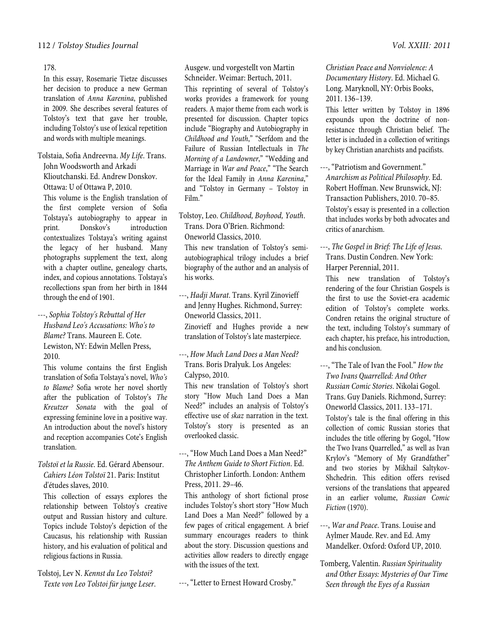178.

In this essay, Rosemarie Tietze discusses her decision to produce a new German translation of *Anna Karenina*, published in 2009. She describes several features of Tolstoy's text that gave her trouble, including Tolstoy's use of lexical repetition and words with multiple meanings.

Tolstaia, Sofia Andreevna. *My Life*. Trans. John Woodsworth and Arkadi Klioutchanski. Ed. Andrew Donskov. Ottawa: U of Ottawa P, 2010.

This volume is the English translation of the first complete version of Sofia Tolstaya's autobiography to appear in print. Donskov's introduction contextualizes Tolstaya's writing against the legacy of her husband. Many photographs supplement the text, along with a chapter outline, genealogy charts, index, and copious annotations. Tolstaya's recollections span from her birth in 1844 through the end of 1901.

---, *Sophia Tolstoy's Rebuttal of Her Husband Leo's Accusations: Who's to Blame?* Trans. Maureen E. Cote. Lewiston, NY: Edwin Mellen Press, 2010.

This volume contains the first English translation of Sofia Tolstaya's novel, *Who's to Blame?* Sofia wrote her novel shortly after the publication of Tolstoy's *The Kreutzer Sonata* with the goal of expressing feminine love in a positive way. An introduction about the novel's history and reception accompanies Cote's English translation.

*Tolstoï et la Russie*. Ed. Gérard Abensour. *Cahiers Léon Tolstoï* 21. Paris: Institut d'études slaves, 2010.

This collection of essays explores the relationship between Tolstoy's creative output and Russian history and culture. Topics include Tolstoy's depiction of the Caucasus, his relationship with Russian history, and his evaluation of political and religious factions in Russia.

Tolstoj, Lev N. *Kennst du Leo Tolstoi? Texte von Leo Tolstoi für junge Leser*. Ausgew. und vorgestellt von Martin

Schneider. Weimar: Bertuch, 2011. This reprinting of several of Tolstoy's works provides a framework for young readers. A major theme from each work is presented for discussion. Chapter topics include "Biography and Autobiography in *Childhood and Youth*," "Serfdom and the Failure of Russian Intellectuals in *The Morning of a Landowner*," "Wedding and Marriage in *War and Peace*," "The Search for the Ideal Family in *Anna Karenina*," and "Tolstoy in Germany – Tolstoy in Film."

Tolstoy, Leo. *Childhood, Boyhood, Youth*. Trans. Dora O'Brien. Richmond: Oneworld Classics, 2010.

This new translation of Tolstoy's semiautobiographical trilogy includes a brief biography of the author and an analysis of his works.

- ---, *Hadji Murat*. Trans. Kyril Zinovieff and Jenny Hughes. Richmond, Surrey: Oneworld Classics, 2011. Zinovieff and Hughes provide a new translation of Tolstoy's late masterpiece.
- ---, *How Much Land Does a Man Need?*  Trans. Boris Dralyuk. Los Angeles: Calypso, 2010.

This new translation of Tolstoy's short story "How Much Land Does a Man Need?" includes an analysis of Tolstoy's effective use of *skaz* narration in the text. Tolstoy's story is presented as an overlooked classic.

---, "How Much Land Does a Man Need?" *The Anthem Guide to Short Fiction*. Ed. Christopher Linforth. London: Anthem Press, 2011. 29–46.

This anthology of short fictional prose includes Tolstoy's short story "How Much Land Does a Man Need?" followed by a few pages of critical engagement. A brief summary encourages readers to think about the story. Discussion questions and activities allow readers to directly engage with the issues of the text.

---, "Letter to Ernest Howard Crosby."

*Christian Peace and Nonviolence: A Documentary History*. Ed. Michael G. Long. Maryknoll, NY: Orbis Books, 2011. 136–139.

This letter written by Tolstoy in 1896 expounds upon the doctrine of nonresistance through Christian belief. The letter is included in a collection of writings by key Christian anarchists and pacifists.

- ---, "Patriotism and Government." *Anarchism as Political Philosophy*. Ed. Robert Hoffman. New Brunswick, NJ: Transaction Publishers, 2010. 70–85. Tolstoy's essay is presented in a collection that includes works by both advocates and critics of anarchism.
- ---, *The Gospel in Brief: The Life of Jesus*. Trans. Dustin Condren. New York: Harper Perennial, 2011.

This new translation of Tolstoy's rendering of the four Christian Gospels is the first to use the Soviet-era academic edition of Tolstoy's complete works. Condren retains the original structure of the text, including Tolstoy's summary of each chapter, his preface, his introduction, and his conclusion.

- ---, "The Tale of Ivan the Fool." *How the Two Ivans Quarrelled: And Other Russian Comic Stories*. Nikolai Gogol. Trans. Guy Daniels. Richmond, Surrey: Oneworld Classics, 2011. 133–171. Tolstoy's tale is the final offering in this collection of comic Russian stories that includes the title offering by Gogol, "How the Two Ivans Quarrelled," as well as Ivan Krylov's "Memory of My Grandfather" and two stories by Mikhail Saltykov-Shchedrin. This edition offers revised versions of the translations that appeared in an earlier volume, *Russian Comic Fiction* (1970).
- ---, *War and Peace*. Trans. Louise and Aylmer Maude. Rev. and Ed. Amy Mandelker. Oxford: Oxford UP, 2010.
- Tomberg, Valentin. *Russian Spirituality and Other Essays: Mysteries of Our Time Seen through the Eyes of a Russian*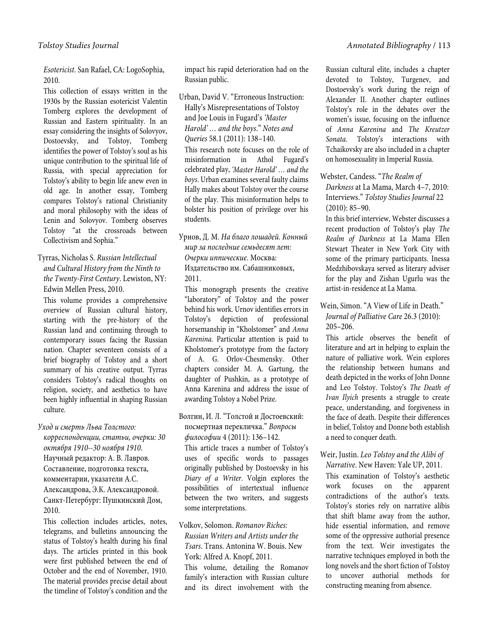*Esotericist*. San Rafael, CA: LogoSophia, 2010.

This collection of essays written in the 1930s by the Russian esotericist Valentin Tomberg explores the development of Russian and Eastern spirituality. In an essay considering the insights of Solovyov, Dostoevsky, and Tolstoy, Tomberg identifies the power of Tolstoy's soul as his unique contribution to the spiritual life of Russia, with special appreciation for Tolstoy's ability to begin life anew even in old age. In another essay, Tomberg compares Tolstoy's rational Christianity and moral philosophy with the ideas of Lenin and Solovyov. Tomberg observes Tolstoy "at the crossroads between Collectivism and Sophia."

## Tyrras, Nicholas S. *Russian Intellectual and Cultural History from the Ninth to the Twenty-First Century*. Lewiston, NY: Edwin Mellen Press, 2010.

This volume provides a comprehensive overview of Russian cultural history, starting with the pre-history of the Russian land and continuing through to contemporary issues facing the Russian nation. Chapter seventeen consists of a brief biography of Tolstoy and a short summary of his creative output. Tyrras considers Tolstoy's radical thoughts on religion, society, and aesthetics to have been highly influential in shaping Russian culture.

## *Уход и смерть Льва Толстого:*

*корреспонденции, статьи, очерки: 30 октября 1910--30 ноября 1910*. Научный редактор: А. В. Лавров. Составление, подготовка текста, комментарии, указатели А.С. Александрова, Э.К. Александровой. Санкт-Петербург: Пушкинский Дом, 2010.

This collection includes articles, notes, telegrams, and bulletins announcing the status of Tolstoy's health during his final days. The articles printed in this book were first published between the end of October and the end of November, 1910. The material provides precise detail about the timeline of Tolstoy's condition and the

impact his rapid deterioration had on the Russian public.

Urban, David V. "Erroneous Instruction: Hally's Misrepresentations of Tolstoy and Joe Louis in Fugard's *'Master Harold' … and the boys*." *Notes and Queries* 58.1 (2011): 138–140. This research note focuses on the role of misinformation in Athol Fugard's celebrated play, *'Master Harold' … and the boys*. Urban examines several faulty claims Hally makes about Tolstoy over the course of the play. This misinformation helps to bolster his position of privilege over his students.

Урнов, Д. М. *На благо лошадей. Конный мир за последние семьдесят лет: Очерки иппические*. Москва: Издательство им. Сабашниковых, 2011.

This monograph presents the creative "laboratory" of Tolstoy and the power behind his work. Urnov identifies errors in Tolstoy's depiction of professional horsemanship in "Kholstomer" and *Anna Karenina*. Particular attention is paid to Kholstomer's prototype from the factory of A. G. Orlov-Chesmensky. Other chapters consider M. A. Gartung, the daughter of Pushkin, as a prototype of Anna Karenina and address the issue of awarding Tolstoy a Nobel Prize.

#### Волгин, И. Л. "Толстой и Достоевский: посмертная перекличка." *Вопросы философии* 4 (2011): 136–142.

This article traces a number of Tolstoy's uses of specific words to passages originally published by Dostoevsky in his *Diary of a Writer*. Volgin explores the possibilities of intertextual influence between the two writers, and suggests some interpretations.

## Volkov, Solomon. *Romanov Riches: Russian Writers and Artists under the Tsars*. Trans. Antonina W. Bouis. New York: Alfred A. Knopf, 2011. This volume, detailing the Romanov family's interaction with Russian culture and its direct involvement with the

Russian cultural elite, includes a chapter devoted to Tolstoy, Turgenev, and Dostoevsky's work during the reign of Alexander II. Another chapter outlines Tolstoy's role in the debates over the women's issue, focusing on the influence of *Anna Karenina* and *The Kreutzer Sonata*. Tolstoy's interactions with Tchaikovsky are also included in a chapter on homosexuality in Imperial Russia.

Webster, Candess. "*The Realm of Darkness* at La Mama, March 4–7, 2010: Interviews." *Tolstoy Studies Journal* 22 (2010): 85–90.

In this brief interview, Webster discusses a recent production of Tolstoy's play *The Realm of Darkness* at La Mama Ellen Stewart Theater in New York City with some of the primary participants. Inessa Medzhibovskaya served as literary adviser for the play and Zishan Ugurlu was the artist-in-residence at La Mama.

Wein, Simon. "A View of Life in Death." *Journal of Palliative Care* 26.3 (2010): 205–206.

This article observes the benefit of literature and art in helping to explain the nature of palliative work. Wein explores the relationship between humans and death depicted in the works of John Donne and Leo Tolstoy. Tolstoy's *The Death of Ivan Ilyich* presents a struggle to create peace, understanding, and forgiveness in the face of death. Despite their differences in belief, Tolstoy and Donne both establish a need to conquer death.

Weir, Justin. *Leo Tolstoy and the Alibi of Narrative*. New Haven: Yale UP, 2011.

This examination of Tolstoy's aesthetic work focuses on the apparent contradictions of the author's texts. Tolstoy's stories rely on narrative alibis that shift blame away from the author, hide essential information, and remove some of the oppressive authorial presence from the text. Weir investigates the narrative techniques employed in both the long novels and the short fiction of Tolstoy to uncover authorial methods for constructing meaning from absence.